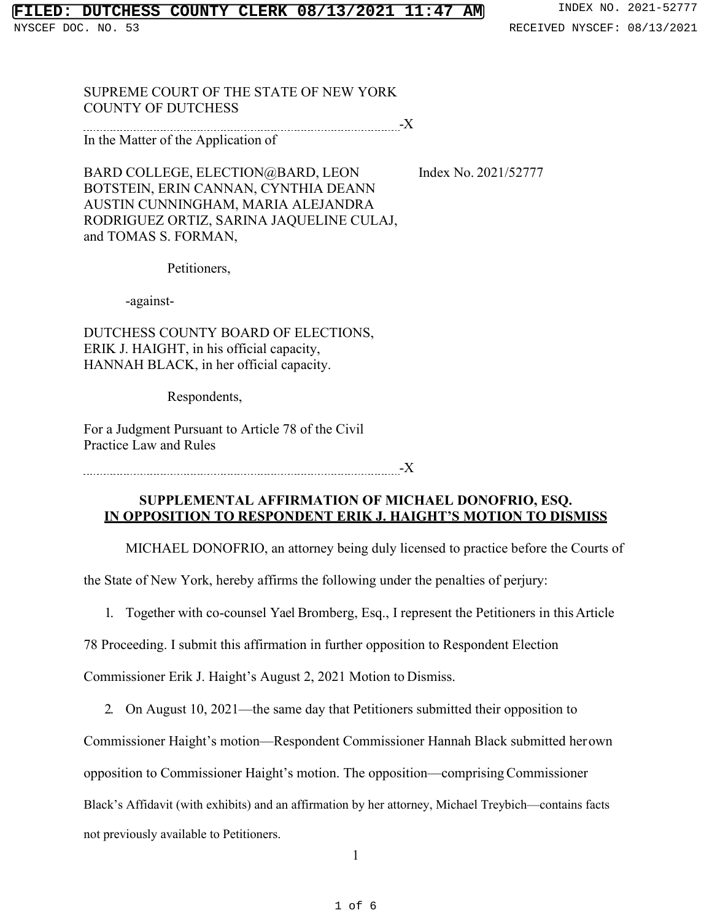## **FILT COUNTY CLERK 08/13/2021 11:47 AM** INDEX NO. 2021-52777

NYSCEF DOC. NO. 53 **RECEIVED NYSCEF: 08/13/2021** 

SUPREME COURT OF THE STATE OF NEW YORK COUNTY OF DUTCHESS

-X

In the Matter of the Application of

BARD COLLEGE, ELECTION@BARD, LEON Index No. 2021/52777 BOTSTEIN, ERIN CANNAN, CYNTHIA DEANN AUSTIN CUNNINGHAM, MARIA ALEJANDRA RODRIGUEZ ORTIZ, SARINA JAQUELINE CULAJ, and TOMAS S. FORMAN,

Petitioners,

-against-

DUTCHESS COUNTY BOARD OF ELECTIONS, ERIK J. HAIGHT, in his official capacity, HANNAH BLACK, in her official capacity.

Respondents,

For a Judgment Pursuant to Article 78 of the Civil Practice Law and Rules

<u>-X</u>

## **SUPPLEMENTAL AFFIRMATION OF MICHAEL DONOFRIO, ESQ. IN OPPOSITION TO RESPONDENT ERIK J. HAIGHT'S MOTION TO DISMISS**

MICHAEL DONOFRIO, an attorney being duly licensed to practice before the Courts of

the State of New York, hereby affirms the following under the penalties of perjury:

1. Together with co-counsel Yael Bromberg, Esq., I represent the Petitioners in thisArticle

78 Proceeding. I submit this affirmation in further opposition to Respondent Election

Commissioner Erik J. Haight's August 2, 2021 Motion to Dismiss.

2. On August 10, 2021—the same day that Petitioners submitted their opposition to

Commissioner Haight's motion—Respondent Commissioner Hannah Black submitted herown

opposition to Commissioner Haight's motion. The opposition—comprisingCommissioner

Black's Affidavit (with exhibits) and an affirmation by her attorney, Michael Treybich—contains facts

not previously available to Petitioners.

1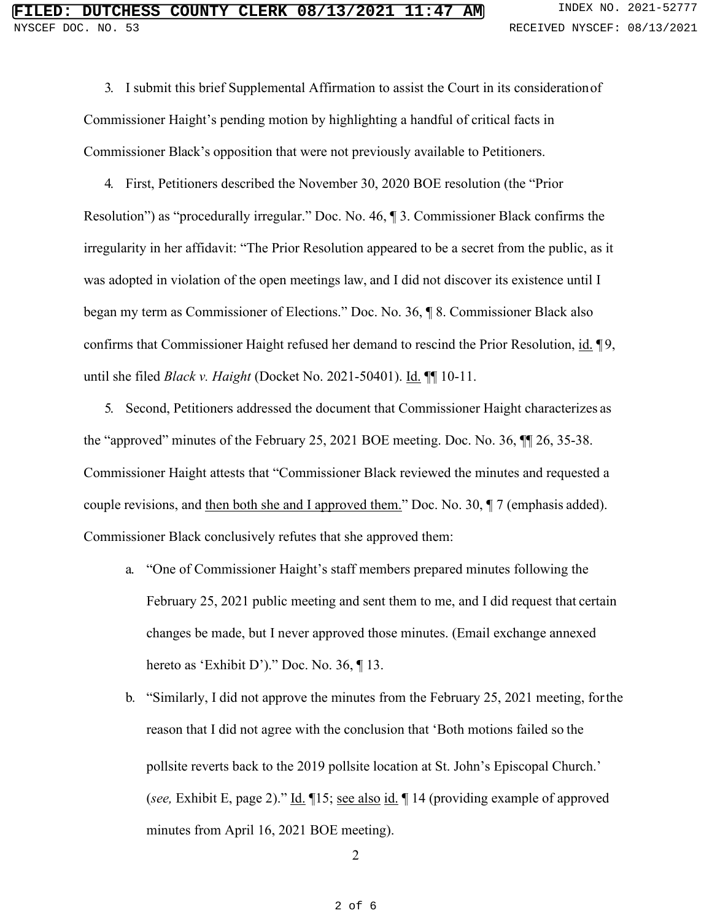3. I submit this brief Supplemental Affirmation to assist the Court in its considerationof Commissioner Haight's pending motion by highlighting a handful of critical facts in Commissioner Black's opposition that were not previously available to Petitioners.

4. First, Petitioners described the November 30, 2020 BOE resolution (the "Prior Resolution") as "procedurally irregular." Doc. No. 46, ¶ 3. Commissioner Black confirms the irregularity in her affidavit: "The Prior Resolution appeared to be a secret from the public, as it was adopted in violation of the open meetings law, and I did not discover its existence until I began my term as Commissioner of Elections." Doc. No. 36, ¶ 8. Commissioner Black also confirms that Commissioner Haight refused her demand to rescind the Prior Resolution, id. 19, until she filed *Black v. Haight* (Docket No. 2021-50401). Id. ¶¶ 10-11.

5. Second, Petitioners addressed the document that Commissioner Haight characterizes as the "approved" minutes of the February 25, 2021 BOE meeting. Doc. No. 36, ¶¶ 26, 35-38. Commissioner Haight attests that "Commissioner Black reviewed the minutes and requested a couple revisions, and then both she and I approved them." Doc. No. 30, ¶ 7 (emphasis added). Commissioner Black conclusively refutes that she approved them:

- a. "One of Commissioner Haight's staff members prepared minutes following the February 25, 2021 public meeting and sent them to me, and I did request that certain changes be made, but I never approved those minutes. (Email exchange annexed hereto as 'Exhibit D')." Doc. No. 36, ¶ 13.
- b. "Similarly, I did not approve the minutes from the February 25, 2021 meeting, forthe reason that I did not agree with the conclusion that 'Both motions failed so the pollsite reverts back to the 2019 pollsite location at St. John's Episcopal Church.' (*see,* Exhibit E, page 2)." Id. ¶15; see also id. ¶ 14 (providing example of approved minutes from April 16, 2021 BOE meeting).

2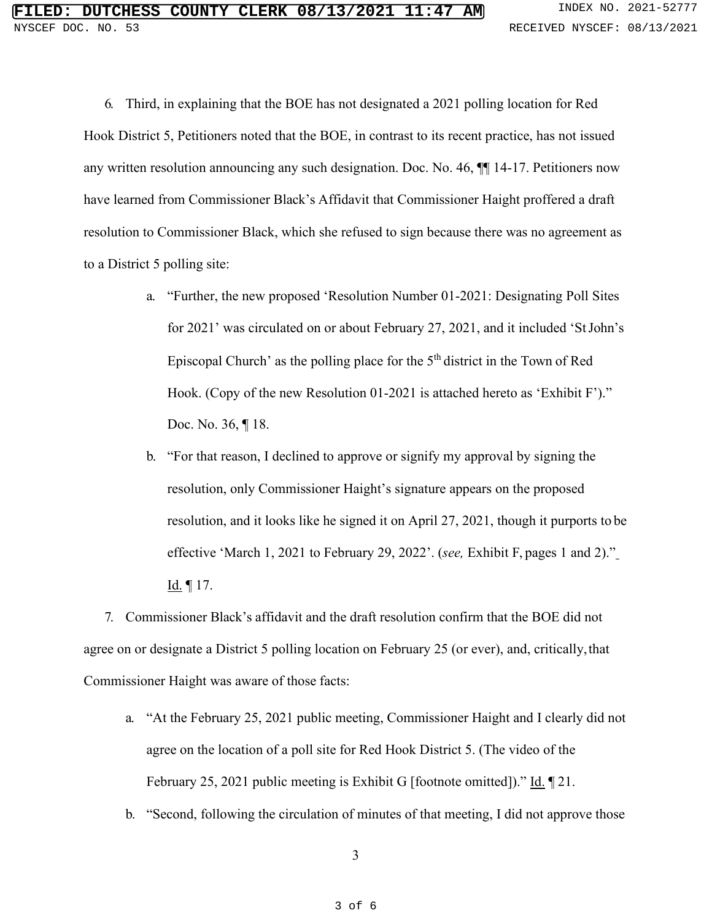6. Third, in explaining that the BOE has not designated a 2021 polling location for Red Hook District 5, Petitioners noted that the BOE, in contrast to its recent practice, has not issued any written resolution announcing any such designation. Doc. No. 46, ¶¶ 14-17. Petitioners now have learned from Commissioner Black's Affidavit that Commissioner Haight proffered a draft resolution to Commissioner Black, which she refused to sign because there was no agreement as to a District 5 polling site:

- a. "Further, the new proposed 'Resolution Number 01-2021: Designating Poll Sites for 2021' was circulated on or about February 27, 2021, and it included 'StJohn's Episcopal Church' as the polling place for the 5<sup>th</sup> district in the Town of Red Hook. (Copy of the new Resolution 01-2021 is attached hereto as 'Exhibit F')." Doc. No. 36, ¶ 18.
- b. "For that reason, I declined to approve or signify my approval by signing the resolution, only Commissioner Haight's signature appears on the proposed resolution, and it looks like he signed it on April 27, 2021, though it purports to be effective 'March 1, 2021 to February 29, 2022'. (*see,* Exhibit F, pages 1 and 2)." Id. ¶ 17.

7. Commissioner Black's affidavit and the draft resolution confirm that the BOE did not agree on or designate a District 5 polling location on February 25 (or ever), and, critically,that Commissioner Haight was aware of those facts:

- a. "At the February 25, 2021 public meeting, Commissioner Haight and I clearly did not agree on the location of a poll site for Red Hook District 5. (The video of the February 25, 2021 public meeting is Exhibit G [footnote omitted])." Id. 121.
- b. "Second, following the circulation of minutes of that meeting, I did not approve those

3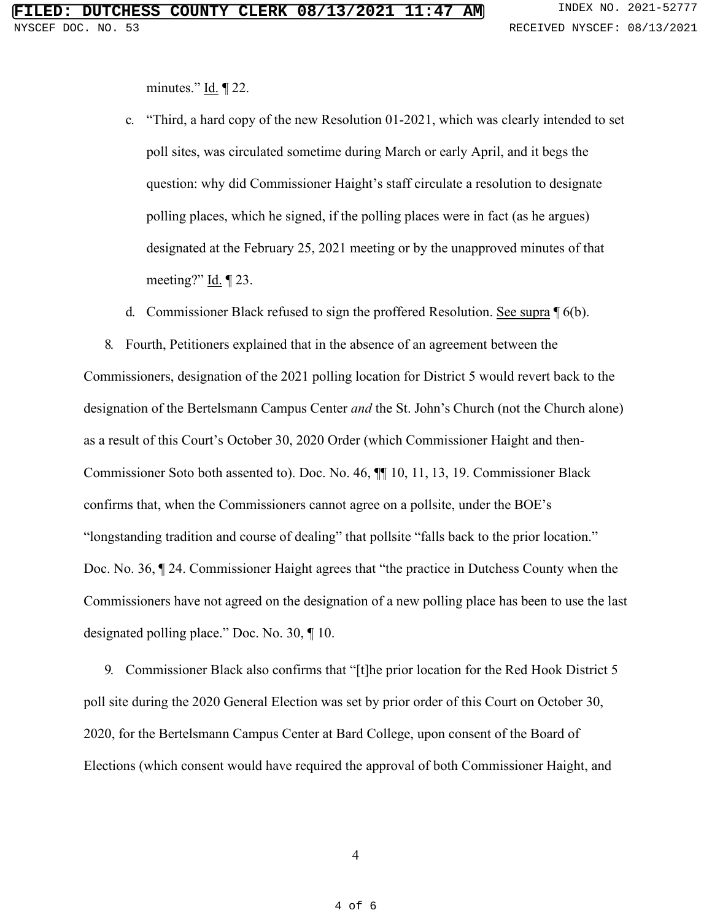minutes."  $\underline{Id}$ .  $\P$  22.

- c. "Third, a hard copy of the new Resolution 01-2021, which was clearly intended to set poll sites, was circulated sometime during March or early April, and it begs the question: why did Commissioner Haight's staff circulate a resolution to designate polling places, which he signed, if the polling places were in fact (as he argues) designated at the February 25, 2021 meeting or by the unapproved minutes of that meeting?"  $\underline{Id}$ .  $\P$  23.
- d. Commissioner Black refused to sign the proffered Resolution. See supra ¶ 6(b).

8. Fourth, Petitioners explained that in the absence of an agreement between the Commissioners, designation of the 2021 polling location for District 5 would revert back to the designation of the Bertelsmann Campus Center *and* the St. John's Church (not the Church alone) as a result of this Court's October 30, 2020 Order (which Commissioner Haight and then-Commissioner Soto both assented to). Doc. No. 46, ¶¶ 10, 11, 13, 19. Commissioner Black confirms that, when the Commissioners cannot agree on a pollsite, under the BOE's "longstanding tradition and course of dealing" that pollsite "falls back to the prior location." Doc. No. 36, ¶ 24. Commissioner Haight agrees that "the practice in Dutchess County when the Commissioners have not agreed on the designation of a new polling place has been to use the last designated polling place." Doc. No. 30, ¶ 10.

9. Commissioner Black also confirms that "[t]he prior location for the Red Hook District 5 poll site during the 2020 General Election was set by prior order of this Court on October 30, 2020, for the Bertelsmann Campus Center at Bard College, upon consent of the Board of Elections (which consent would have required the approval of both Commissioner Haight, and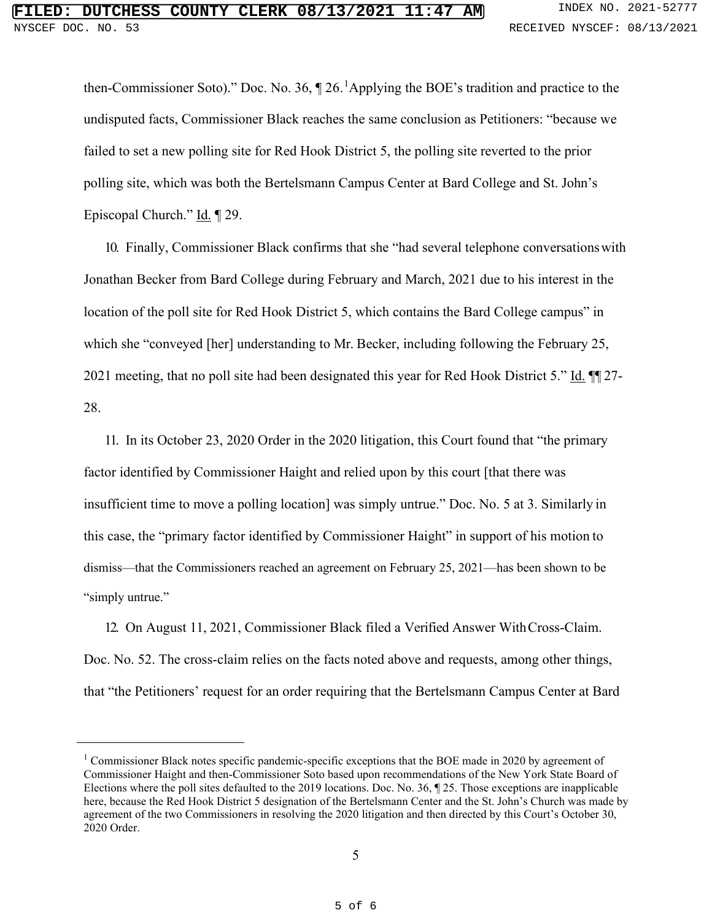then-Commissioner Soto)." Doc. No. 36,  $\P$  26. <sup>[1](#page-4-0)</sup>Applying the BOE's tradition and practice to the undisputed facts, Commissioner Black reaches the same conclusion as Petitioners: "because we failed to set a new polling site for Red Hook District 5, the polling site reverted to the prior polling site, which was both the Bertelsmann Campus Center at Bard College and St. John's Episcopal Church." Id. ¶ 29.

10. Finally, Commissioner Black confirms that she "had several telephone conversationswith Jonathan Becker from Bard College during February and March, 2021 due to his interest in the location of the poll site for Red Hook District 5, which contains the Bard College campus" in which she "conveyed [her] understanding to Mr. Becker, including following the February 25, 2021 meeting, that no poll site had been designated this year for Red Hook District 5." Id. ¶ 27-28.

11. In its October 23, 2020 Order in the 2020 litigation, this Court found that "the primary factor identified by Commissioner Haight and relied upon by this court [that there was insufficient time to move a polling location] was simply untrue." Doc. No. 5 at 3. Similarly in this case, the "primary factor identified by Commissioner Haight" in support of his motion to dismiss—that the Commissioners reached an agreement on February 25, 2021—has been shown to be "simply untrue."

12. On August 11, 2021, Commissioner Black filed a Verified Answer WithCross-Claim. Doc. No. 52. The cross-claim relies on the facts noted above and requests, among other things, that "the Petitioners' request for an order requiring that the Bertelsmann Campus Center at Bard

<span id="page-4-0"></span><sup>&</sup>lt;sup>1</sup> Commissioner Black notes specific pandemic-specific exceptions that the BOE made in 2020 by agreement of Commissioner Haight and then-Commissioner Soto based upon recommendations of the New York State Board of Elections where the poll sites defaulted to the 2019 locations. Doc. No. 36, ¶ 25. Those exceptions are inapplicable here, because the Red Hook District 5 designation of the Bertelsmann Center and the St. John's Church was made by agreement of the two Commissioners in resolving the 2020 litigation and then directed by this Court's October 30, 2020 Order.